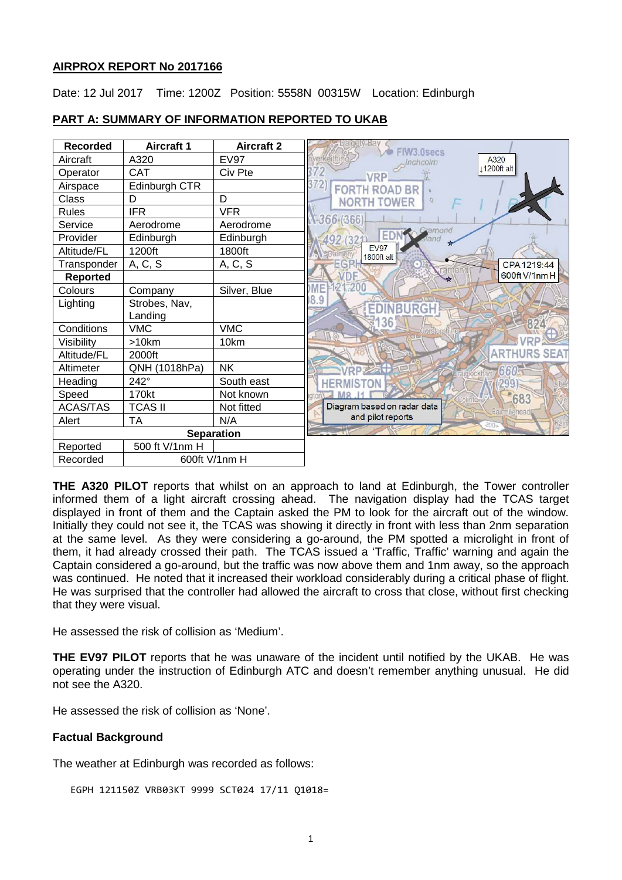### **AIRPROX REPORT No 2017166**

Date: 12 Jul 2017 Time: 1200Z Position: 5558N 00315W Location: Edinburgh



### **PART A: SUMMARY OF INFORMATION REPORTED TO UKAB**

**THE A320 PILOT** reports that whilst on an approach to land at Edinburgh, the Tower controller informed them of a light aircraft crossing ahead. The navigation display had the TCAS target displayed in front of them and the Captain asked the PM to look for the aircraft out of the window. Initially they could not see it, the TCAS was showing it directly in front with less than 2nm separation at the same level. As they were considering a go-around, the PM spotted a microlight in front of them, it had already crossed their path. The TCAS issued a 'Traffic, Traffic' warning and again the Captain considered a go-around, but the traffic was now above them and 1nm away, so the approach was continued. He noted that it increased their workload considerably during a critical phase of flight. He was surprised that the controller had allowed the aircraft to cross that close, without first checking that they were visual.

He assessed the risk of collision as 'Medium'.

**THE EV97 PILOT** reports that he was unaware of the incident until notified by the UKAB. He was operating under the instruction of Edinburgh ATC and doesn't remember anything unusual. He did not see the A320.

He assessed the risk of collision as 'None'.

## **Factual Background**

The weather at Edinburgh was recorded as follows:

EGPH 121150Z VRB03KT 9999 SCT024 17/11 Q1018=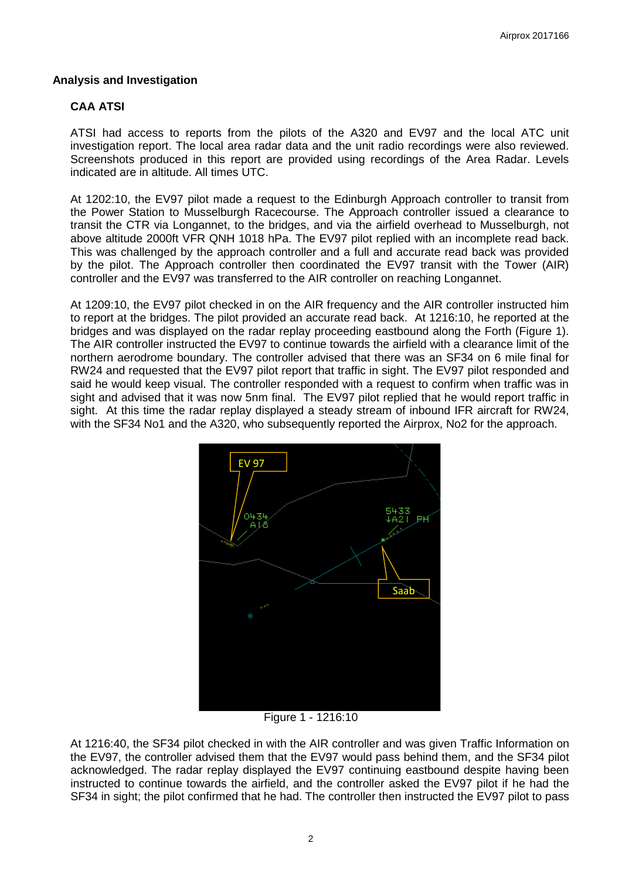### **Analysis and Investigation**

## **CAA ATSI**

ATSI had access to reports from the pilots of the A320 and EV97 and the local ATC unit investigation report. The local area radar data and the unit radio recordings were also reviewed. Screenshots produced in this report are provided using recordings of the Area Radar. Levels indicated are in altitude. All times UTC.

At 1202:10, the EV97 pilot made a request to the Edinburgh Approach controller to transit from the Power Station to Musselburgh Racecourse. The Approach controller issued a clearance to transit the CTR via Longannet, to the bridges, and via the airfield overhead to Musselburgh, not above altitude 2000ft VFR QNH 1018 hPa. The EV97 pilot replied with an incomplete read back. This was challenged by the approach controller and a full and accurate read back was provided by the pilot. The Approach controller then coordinated the EV97 transit with the Tower (AIR) controller and the EV97 was transferred to the AIR controller on reaching Longannet.

At 1209:10, the EV97 pilot checked in on the AIR frequency and the AIR controller instructed him to report at the bridges. The pilot provided an accurate read back. At 1216:10, he reported at the bridges and was displayed on the radar replay proceeding eastbound along the Forth (Figure 1). The AIR controller instructed the EV97 to continue towards the airfield with a clearance limit of the northern aerodrome boundary. The controller advised that there was an SF34 on 6 mile final for RW24 and requested that the EV97 pilot report that traffic in sight. The EV97 pilot responded and said he would keep visual. The controller responded with a request to confirm when traffic was in sight and advised that it was now 5nm final. The EV97 pilot replied that he would report traffic in sight. At this time the radar replay displayed a steady stream of inbound IFR aircraft for RW24, with the SF34 No1 and the A320, who subsequently reported the Airprox, No2 for the approach.



Figure 1 - 1216:10

At 1216:40, the SF34 pilot checked in with the AIR controller and was given Traffic Information on the EV97, the controller advised them that the EV97 would pass behind them, and the SF34 pilot acknowledged. The radar replay displayed the EV97 continuing eastbound despite having been instructed to continue towards the airfield, and the controller asked the EV97 pilot if he had the SF34 in sight; the pilot confirmed that he had. The controller then instructed the EV97 pilot to pass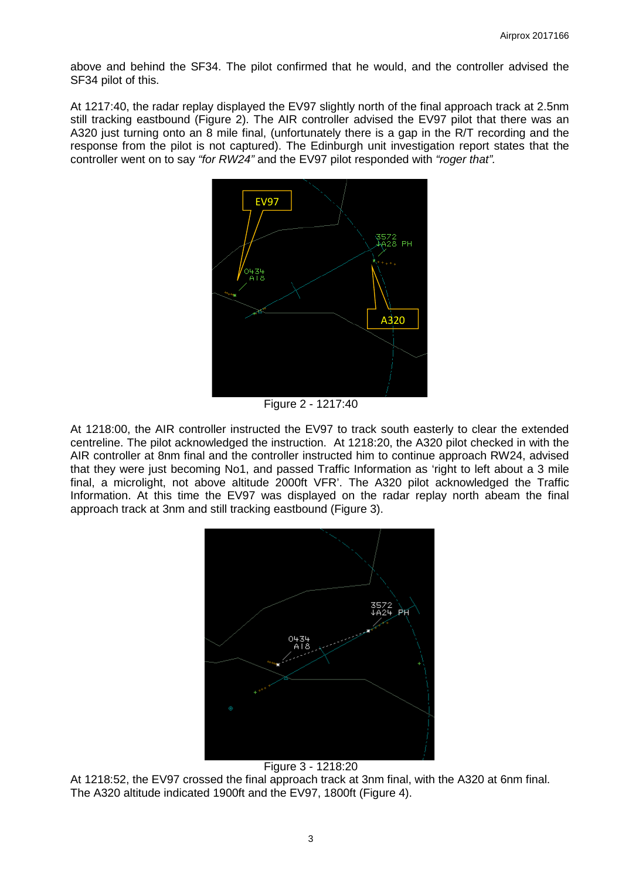above and behind the SF34. The pilot confirmed that he would, and the controller advised the SF34 pilot of this.

At 1217:40, the radar replay displayed the EV97 slightly north of the final approach track at 2.5nm still tracking eastbound (Figure 2). The AIR controller advised the EV97 pilot that there was an A320 just turning onto an 8 mile final, (unfortunately there is a gap in the R/T recording and the response from the pilot is not captured). The Edinburgh unit investigation report states that the controller went on to say *"for RW24"* and the EV97 pilot responded with *"roger that".*



Figure 2 - 1217:40

At 1218:00, the AIR controller instructed the EV97 to track south easterly to clear the extended centreline. The pilot acknowledged the instruction. At 1218:20, the A320 pilot checked in with the AIR controller at 8nm final and the controller instructed him to continue approach RW24, advised that they were just becoming No1, and passed Traffic Information as 'right to left about a 3 mile final, a microlight, not above altitude 2000ft VFR'. The A320 pilot acknowledged the Traffic Information. At this time the EV97 was displayed on the radar replay north abeam the final approach track at 3nm and still tracking eastbound (Figure 3).



Figure 3 - 1218:20

At 1218:52, the EV97 crossed the final approach track at 3nm final, with the A320 at 6nm final. The A320 altitude indicated 1900ft and the EV97, 1800ft (Figure 4).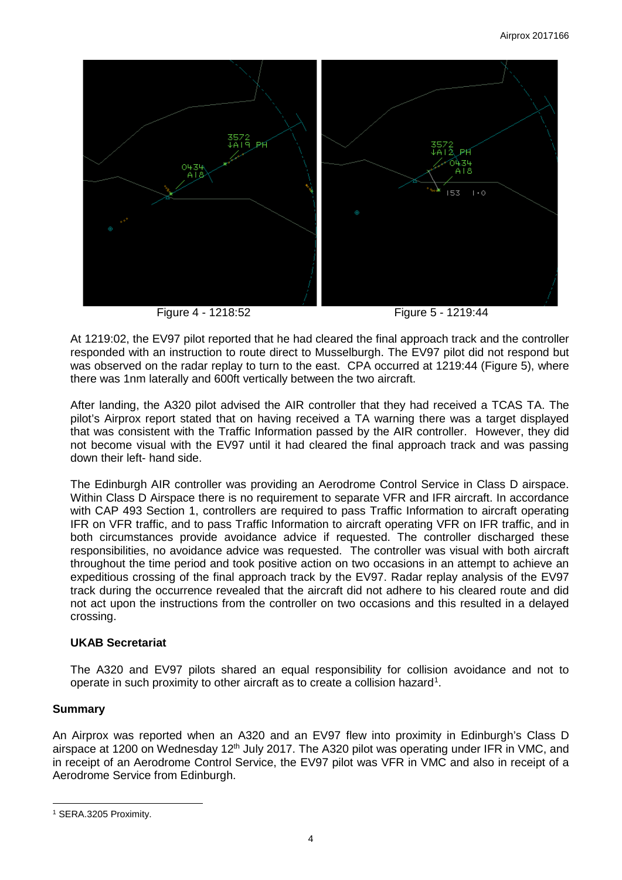

Figure 4 - 1218:52 Figure 5 - 1219:44

At 1219:02, the EV97 pilot reported that he had cleared the final approach track and the controller responded with an instruction to route direct to Musselburgh. The EV97 pilot did not respond but was observed on the radar replay to turn to the east. CPA occurred at 1219:44 (Figure 5), where there was 1nm laterally and 600ft vertically between the two aircraft.

After landing, the A320 pilot advised the AIR controller that they had received a TCAS TA. The pilot's Airprox report stated that on having received a TA warning there was a target displayed that was consistent with the Traffic Information passed by the AIR controller. However, they did not become visual with the EV97 until it had cleared the final approach track and was passing down their left- hand side.

The Edinburgh AIR controller was providing an Aerodrome Control Service in Class D airspace. Within Class D Airspace there is no requirement to separate VFR and IFR aircraft. In accordance with CAP 493 Section 1, controllers are required to pass Traffic Information to aircraft operating IFR on VFR traffic, and to pass Traffic Information to aircraft operating VFR on IFR traffic, and in both circumstances provide avoidance advice if requested. The controller discharged these responsibilities, no avoidance advice was requested. The controller was visual with both aircraft throughout the time period and took positive action on two occasions in an attempt to achieve an expeditious crossing of the final approach track by the EV97. Radar replay analysis of the EV97 track during the occurrence revealed that the aircraft did not adhere to his cleared route and did not act upon the instructions from the controller on two occasions and this resulted in a delayed crossing.

# **UKAB Secretariat**

The A320 and EV97 pilots shared an equal responsibility for collision avoidance and not to operate in such proximity to other aircraft as to create a collision hazard<sup>[1](#page-3-0)</sup>.

# **Summary**

 $\overline{\phantom{a}}$ 

An Airprox was reported when an A320 and an EV97 flew into proximity in Edinburgh's Class D airspace at 1200 on Wednesday 12<sup>th</sup> July 2017. The A320 pilot was operating under IFR in VMC, and in receipt of an Aerodrome Control Service, the EV97 pilot was VFR in VMC and also in receipt of a Aerodrome Service from Edinburgh.

<span id="page-3-0"></span><sup>1</sup> SERA.3205 Proximity.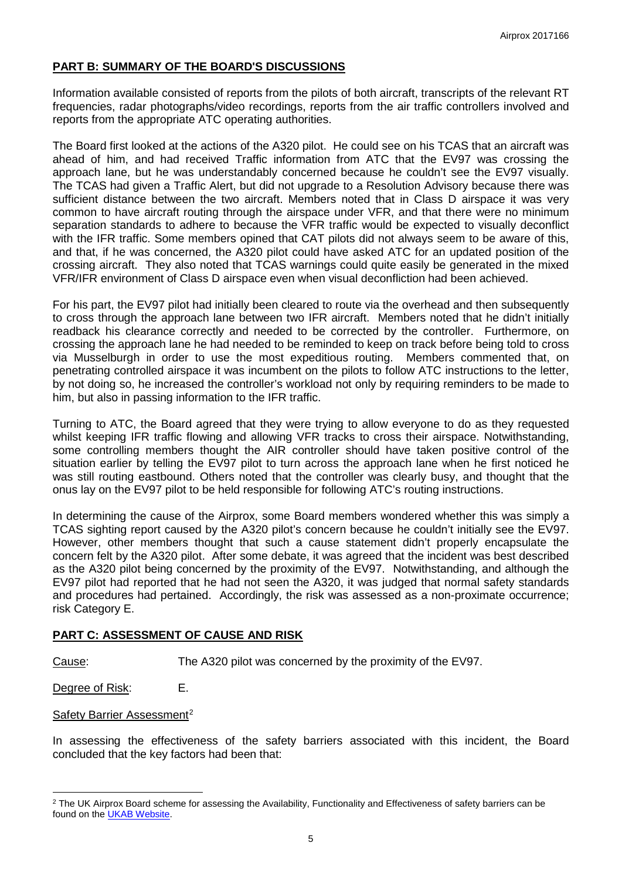# **PART B: SUMMARY OF THE BOARD'S DISCUSSIONS**

Information available consisted of reports from the pilots of both aircraft, transcripts of the relevant RT frequencies, radar photographs/video recordings, reports from the air traffic controllers involved and reports from the appropriate ATC operating authorities.

The Board first looked at the actions of the A320 pilot. He could see on his TCAS that an aircraft was ahead of him, and had received Traffic information from ATC that the EV97 was crossing the approach lane, but he was understandably concerned because he couldn't see the EV97 visually. The TCAS had given a Traffic Alert, but did not upgrade to a Resolution Advisory because there was sufficient distance between the two aircraft. Members noted that in Class D airspace it was very common to have aircraft routing through the airspace under VFR, and that there were no minimum separation standards to adhere to because the VFR traffic would be expected to visually deconflict with the IFR traffic. Some members opined that CAT pilots did not always seem to be aware of this, and that, if he was concerned, the A320 pilot could have asked ATC for an updated position of the crossing aircraft. They also noted that TCAS warnings could quite easily be generated in the mixed VFR/IFR environment of Class D airspace even when visual deconfliction had been achieved.

For his part, the EV97 pilot had initially been cleared to route via the overhead and then subsequently to cross through the approach lane between two IFR aircraft. Members noted that he didn't initially readback his clearance correctly and needed to be corrected by the controller. Furthermore, on crossing the approach lane he had needed to be reminded to keep on track before being told to cross via Musselburgh in order to use the most expeditious routing. Members commented that, on penetrating controlled airspace it was incumbent on the pilots to follow ATC instructions to the letter, by not doing so, he increased the controller's workload not only by requiring reminders to be made to him, but also in passing information to the IFR traffic.

Turning to ATC, the Board agreed that they were trying to allow everyone to do as they requested whilst keeping IFR traffic flowing and allowing VFR tracks to cross their airspace. Notwithstanding, some controlling members thought the AIR controller should have taken positive control of the situation earlier by telling the EV97 pilot to turn across the approach lane when he first noticed he was still routing eastbound. Others noted that the controller was clearly busy, and thought that the onus lay on the EV97 pilot to be held responsible for following ATC's routing instructions.

In determining the cause of the Airprox, some Board members wondered whether this was simply a TCAS sighting report caused by the A320 pilot's concern because he couldn't initially see the EV97. However, other members thought that such a cause statement didn't properly encapsulate the concern felt by the A320 pilot. After some debate, it was agreed that the incident was best described as the A320 pilot being concerned by the proximity of the EV97. Notwithstanding, and although the EV97 pilot had reported that he had not seen the A320, it was judged that normal safety standards and procedures had pertained. Accordingly, the risk was assessed as a non-proximate occurrence; risk Category E.

# **PART C: ASSESSMENT OF CAUSE AND RISK**

Cause: The A320 pilot was concerned by the proximity of the EV97.

Degree of Risk: E.

l

### Safety Barrier Assessment<sup>[2](#page-4-0)</sup>

In assessing the effectiveness of the safety barriers associated with this incident, the Board concluded that the key factors had been that:

<span id="page-4-0"></span><sup>&</sup>lt;sup>2</sup> The UK Airprox Board scheme for assessing the Availability, Functionality and Effectiveness of safety barriers can be found on the [UKAB Website.](http://www.airproxboard.org.uk/Learn-more/Airprox-Barrier-Assessment/)